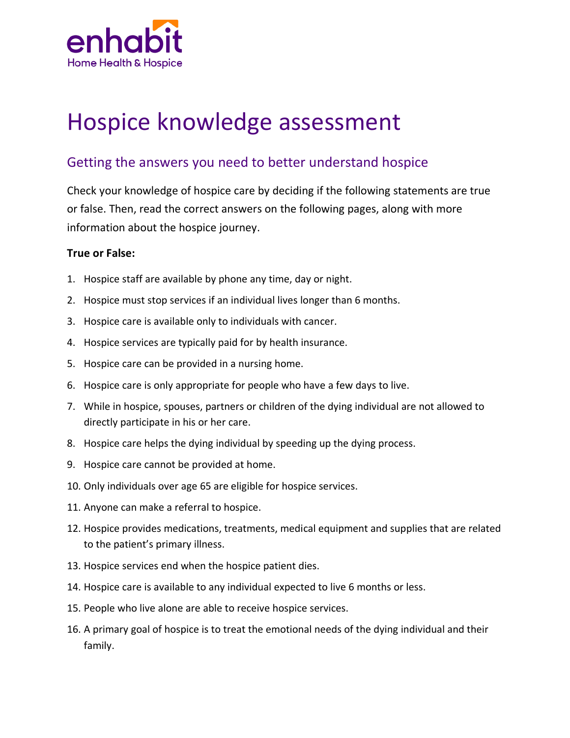

# Hospice knowledge assessment

# Getting the answers you need to better understand hospice

Check your knowledge of hospice care by deciding if the following statements are true or false. Then, read the correct answers on the following pages, along with more information about the hospice journey.

# **True or False:**

- 1. Hospice staff are available by phone any time, day or night.
- 2. Hospice must stop services if an individual lives longer than 6 months.
- 3. Hospice care is available only to individuals with cancer.
- 4. Hospice services are typically paid for by health insurance.
- 5. Hospice care can be provided in a nursing home.
- 6. Hospice care is only appropriate for people who have a few days to live.
- 7. While in hospice, spouses, partners or children of the dying individual are not allowed to directly participate in his or her care.
- 8. Hospice care helps the dying individual by speeding up the dying process.
- 9. Hospice care cannot be provided at home.
- 10. Only individuals over age 65 are eligible for hospice services.
- 11. Anyone can make a referral to hospice.
- 12. Hospice provides medications, treatments, medical equipment and supplies that are related to the patient's primary illness.
- 13. Hospice services end when the hospice patient dies.
- 14. Hospice care is available to any individual expected to live 6 months or less.
- 15. People who live alone are able to receive hospice services.
- 16. A primary goal of hospice is to treat the emotional needs of the dying individual and their family.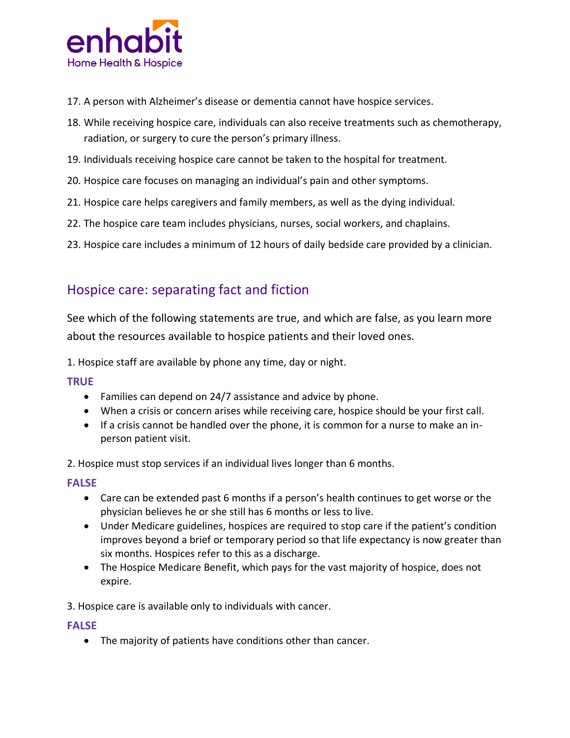

- 17. A person with Alzheimer's disease or dementia cannot have hospice services.
- 18. While receiving hospice care, individuals can also receive treatments such as chemotherapy, radiation, or surgery to cure the person's primary illness.
- 19. Individuals receiving hospice care cannot be taken to the hospital for treatment.
- 20. Hospice care focuses on managing an individual's pain and other symptoms.
- 21. Hospice care helps caregivers and family members, as well as the dying individual.
- 22. The hospice care team includes physicians, nurses, social workers, and chaplains.
- 23. Hospice care includes a minimum of 12 hours of daily bedside care provided by a clinician.

# Hospice care: separating fact and fiction

See which of the following statements are true, and which are false, as you learn more about the resources available to hospice patients and their loved ones.

1. Hospice staff are available by phone any time, day or night.

# **TRUE**

- Families can depend on 24/7 assistance and advice by phone.
- When a crisis or concern arises while receiving care, hospice should be your first call.
- If a crisis cannot be handled over the phone, it is common for a nurse to make an inperson patient visit.

2. Hospice must stop services if an individual lives longer than 6 months.

# **FALSE**

- Care can be extended past 6 months if a person's health continues to get worse or the physician believes he or she still has 6 months or less to live.
- Under Medicare guidelines, hospices are required to stop care if the patient's condition improves beyond a brief or temporary period so that life expectancy is now greater than six months. Hospices refer to this as a discharge.
- The Hospice Medicare Benefit, which pays for the vast majority of hospice, does not expire.

3. Hospice care is available only to individuals with cancer.

#### **FALSE**

• The majority of patients have conditions other than cancer.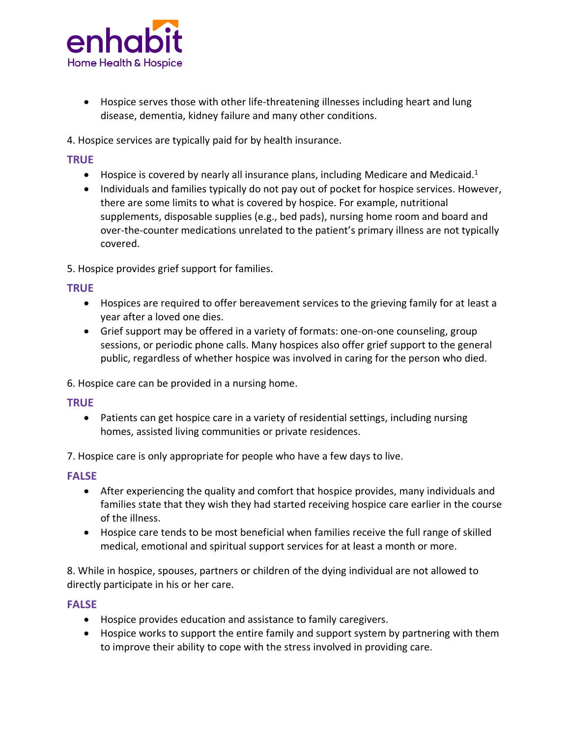

• Hospice serves those with other life-threatening illnesses including heart and lung disease, dementia, kidney failure and many other conditions.

4. Hospice services are typically paid for by health insurance.

#### **TRUE**

- Hospice is covered by nearly all insurance plans, including Medicare and Medicaid.<sup>1</sup>
- Individuals and families typically do not pay out of pocket for hospice services. However, there are some limits to what is covered by hospice. For example, nutritional supplements, disposable supplies (e.g., bed pads), nursing home room and board and over-the-counter medications unrelated to the patient's primary illness are not typically covered.

5. Hospice provides grief support for families.

#### **TRUE**

- Hospices are required to offer bereavement services to the grieving family for at least a year after a loved one dies.
- Grief support may be offered in a variety of formats: one-on-one counseling, group sessions, or periodic phone calls. Many hospices also offer grief support to the general public, regardless of whether hospice was involved in caring for the person who died.

6. Hospice care can be provided in a nursing home.

#### **TRUE**

• Patients can get hospice care in a variety of residential settings, including nursing homes, assisted living communities or private residences.

7. Hospice care is only appropriate for people who have a few days to live.

#### **FALSE**

- After experiencing the quality and comfort that hospice provides, many individuals and families state that they wish they had started receiving hospice care earlier in the course of the illness.
- Hospice care tends to be most beneficial when families receive the full range of skilled medical, emotional and spiritual support services for at least a month or more.

8. While in hospice, spouses, partners or children of the dying individual are not allowed to directly participate in his or her care.

#### **FALSE**

- Hospice provides education and assistance to family caregivers.
- Hospice works to support the entire family and support system by partnering with them to improve their ability to cope with the stress involved in providing care.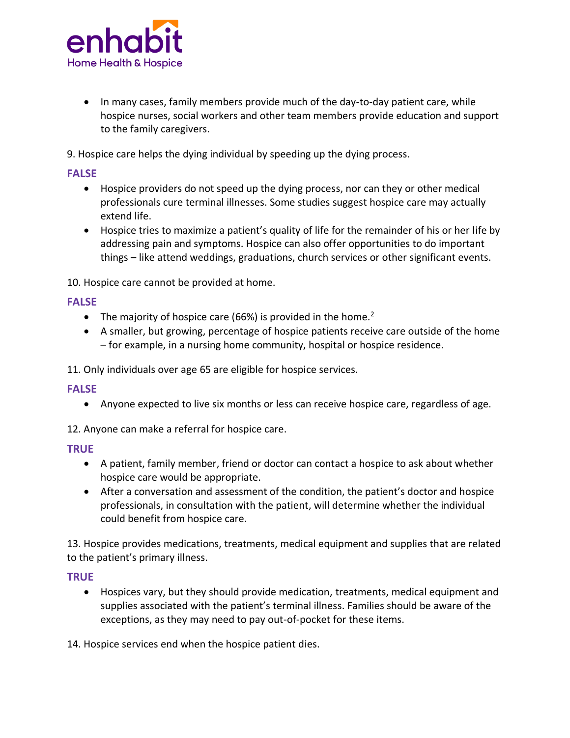

• In many cases, family members provide much of the day-to-day patient care, while hospice nurses, social workers and other team members provide education and support to the family caregivers.

9. Hospice care helps the dying individual by speeding up the dying process.

#### **FALSE**

- Hospice providers do not speed up the dying process, nor can they or other medical professionals cure terminal illnesses. Some studies suggest hospice care may actually extend life.
- Hospice tries to maximize a patient's quality of life for the remainder of his or her life by addressing pain and symptoms. Hospice can also offer opportunities to do important things – like attend weddings, graduations, church services or other significant events.

10. Hospice care cannot be provided at home.

#### **FALSE**

- The majority of hospice care (66%) is provided in the home.<sup>2</sup>
- A smaller, but growing, percentage of hospice patients receive care outside of the home – for example, in a nursing home community, hospital or hospice residence.

11. Only individuals over age 65 are eligible for hospice services.

#### **FALSE**

• Anyone expected to live six months or less can receive hospice care, regardless of age.

12. Anyone can make a referral for hospice care.

#### **TRUE**

- A patient, family member, friend or doctor can contact a hospice to ask about whether hospice care would be appropriate.
- After a conversation and assessment of the condition, the patient's doctor and hospice professionals, in consultation with the patient, will determine whether the individual could benefit from hospice care.

13. Hospice provides medications, treatments, medical equipment and supplies that are related to the patient's primary illness.

#### **TRUE**

• Hospices vary, but they should provide medication, treatments, medical equipment and supplies associated with the patient's terminal illness. Families should be aware of the exceptions, as they may need to pay out-of-pocket for these items.

14. Hospice services end when the hospice patient dies.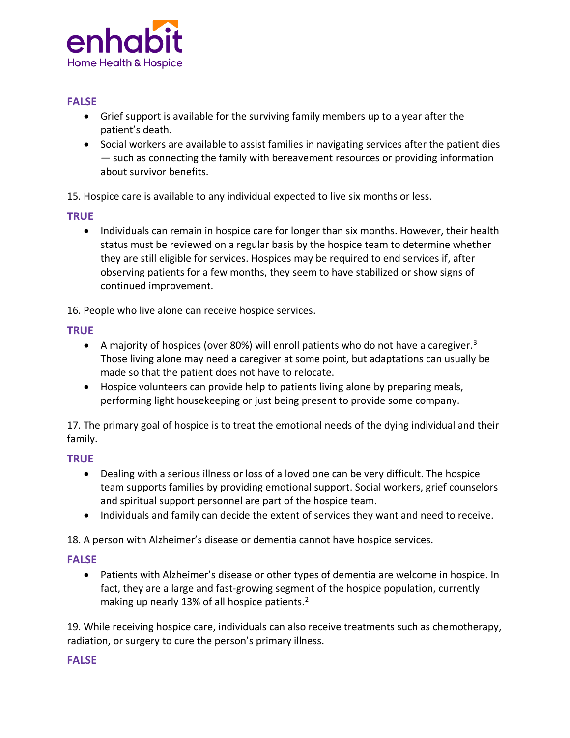

# **FALSE**

- Grief support is available for the surviving family members up to a year after the patient's death.
- Social workers are available to assist families in navigating services after the patient dies — such as connecting the family with bereavement resources or providing information about survivor benefits.

15. Hospice care is available to any individual expected to live six months or less.

#### **TRUE**

• Individuals can remain in hospice care for longer than six months. However, their health status must be reviewed on a regular basis by the hospice team to determine whether they are still eligible for services. Hospices may be required to end services if, after observing patients for a few months, they seem to have stabilized or show signs of continued improvement.

16. People who live alone can receive hospice services.

#### **TRUE**

- A majority of hospices (over 80%) will enroll patients who do not have a caregiver.<sup>3</sup> Those living alone may need a caregiver at some point, but adaptations can usually be made so that the patient does not have to relocate.
- Hospice volunteers can provide help to patients living alone by preparing meals, performing light housekeeping or just being present to provide some company.

17. The primary goal of hospice is to treat the emotional needs of the dying individual and their family.

# **TRUE**

- Dealing with a serious illness or loss of a loved one can be very difficult. The hospice team supports families by providing emotional support. Social workers, grief counselors and spiritual support personnel are part of the hospice team.
- Individuals and family can decide the extent of services they want and need to receive.

18. A person with Alzheimer's disease or dementia cannot have hospice services.

# **FALSE**

• Patients with Alzheimer's disease or other types of dementia are welcome in hospice. In fact, they are a large and fast-growing segment of the hospice population, currently making up nearly 13% of all hospice patients.<sup>2</sup>

19. While receiving hospice care, individuals can also receive treatments such as chemotherapy, radiation, or surgery to cure the person's primary illness.

# **FALSE**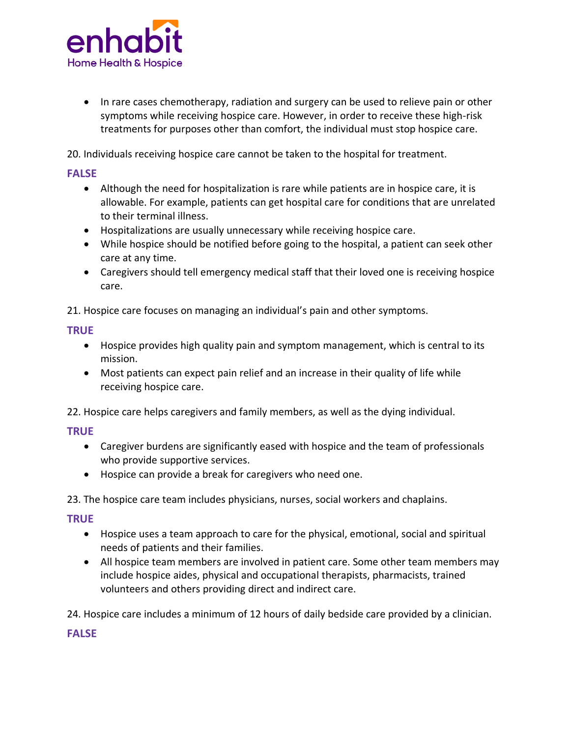

• In rare cases chemotherapy, radiation and surgery can be used to relieve pain or other symptoms while receiving hospice care. However, in order to receive these high-risk treatments for purposes other than comfort, the individual must stop hospice care.

20. Individuals receiving hospice care cannot be taken to the hospital for treatment.

### **FALSE**

- Although the need for hospitalization is rare while patients are in hospice care, it is allowable. For example, patients can get hospital care for conditions that are unrelated to their terminal illness.
- Hospitalizations are usually unnecessary while receiving hospice care.
- While hospice should be notified before going to the hospital, a patient can seek other care at any time.
- Caregivers should tell emergency medical staff that their loved one is receiving hospice care.

21. Hospice care focuses on managing an individual's pain and other symptoms.

#### **TRUE**

- Hospice provides high quality pain and symptom management, which is central to its mission.
- Most patients can expect pain relief and an increase in their quality of life while receiving hospice care.

22. Hospice care helps caregivers and family members, as well as the dying individual.

#### **TRUE**

- Caregiver burdens are significantly eased with hospice and the team of professionals who provide supportive services.
- Hospice can provide a break for caregivers who need one.

23. The hospice care team includes physicians, nurses, social workers and chaplains.

#### **TRUE**

- Hospice uses a team approach to care for the physical, emotional, social and spiritual needs of patients and their families.
- All hospice team members are involved in patient care. Some other team members may include hospice aides, physical and occupational therapists, pharmacists, trained volunteers and others providing direct and indirect care.

24. Hospice care includes a minimum of 12 hours of daily bedside care provided by a clinician.

# **FALSE**